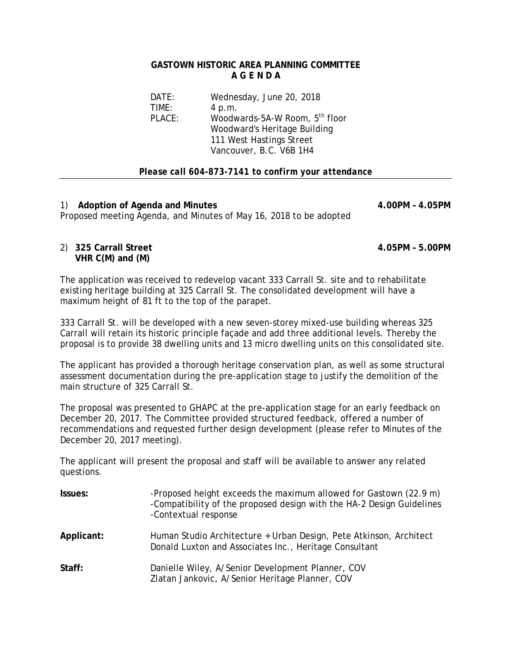#### **GASTOWN HISTORIC AREA PLANNING COMMITTEE A G E N D A**

| Wednesday, June 20, 2018                   |
|--------------------------------------------|
| 4 p.m.                                     |
| Woodwards-5A-W Room, 5 <sup>th</sup> floor |
| Woodward's Heritage Building               |
| 111 West Hastings Street                   |
| Vancouver, B.C. V6B 1H4                    |
|                                            |

## *Please call 604-873-7141 to confirm your attendance*

1) **Adoption of Agenda and Minutes 4.00PM – 4.05PM**  Proposed meeting Agenda, and Minutes of May 16, 2018 to be adopted

## 2) **325 Carrall Street 4.05PM – 5.00PM VHR C(M) and (M)**

The application was received to redevelop vacant 333 Carrall St. site and to rehabilitate existing heritage building at 325 Carrall St. The consolidated development will have a maximum height of 81 ft to the top of the parapet.

333 Carrall St. will be developed with a new seven-storey mixed-use building whereas 325 Carrall will retain its historic principle façade and add three additional levels. Thereby the proposal is to provide 38 dwelling units and 13 micro dwelling units on this consolidated site.

The applicant has provided a thorough heritage conservation plan, as well as some structural assessment documentation during the pre-application stage to justify the demolition of the main structure of 325 Carrall St.

The proposal was presented to GHAPC at the pre-application stage for an early feedback on December 20, 2017. The Committee provided structured feedback, offered a number of recommendations and requested further design development (please refer to Minutes of the December 20, 2017 meeting).

The applicant will present the proposal and staff will be available to answer any related questions.

| Issues:    | -Proposed height exceeds the maximum allowed for Gastown (22.9 m)<br>-Compatibility of the proposed design with the HA-2 Design Guidelines<br>-Contextual response |
|------------|--------------------------------------------------------------------------------------------------------------------------------------------------------------------|
| Applicant: | Human Studio Architecture + Urban Design, Pete Atkinson, Architect<br>Donald Luxton and Associates Inc., Heritage Consultant                                       |
| Staff:     | Danielle Wiley, A/Senior Development Planner, COV<br>Zlatan Jankovic, A/Senior Heritage Planner, COV                                                               |